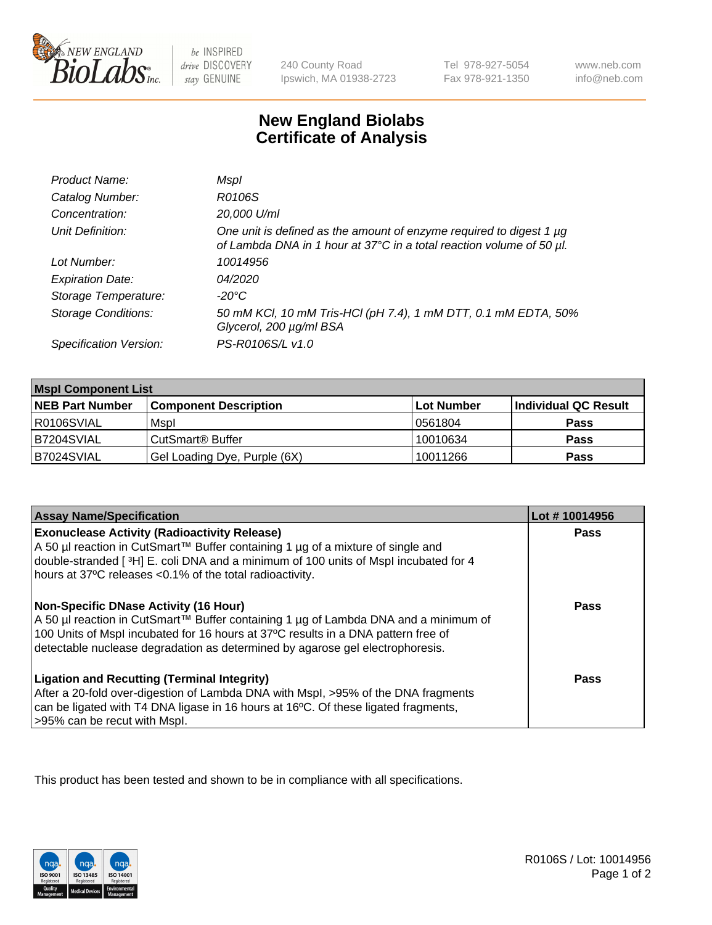

be INSPIRED drive DISCOVERY stay GENUINE

240 County Road Ipswich, MA 01938-2723 Tel 978-927-5054 Fax 978-921-1350

www.neb.com info@neb.com

## **New England Biolabs Certificate of Analysis**

| Product Name:              | Mspl                                                                                                                                        |
|----------------------------|---------------------------------------------------------------------------------------------------------------------------------------------|
| Catalog Number:            | R0106S                                                                                                                                      |
| Concentration:             | 20,000 U/ml                                                                                                                                 |
| Unit Definition:           | One unit is defined as the amount of enzyme required to digest 1 µg<br>of Lambda DNA in 1 hour at 37°C in a total reaction volume of 50 µl. |
| Lot Number:                | 10014956                                                                                                                                    |
| <b>Expiration Date:</b>    | 04/2020                                                                                                                                     |
| Storage Temperature:       | -20°C                                                                                                                                       |
| <b>Storage Conditions:</b> | 50 mM KCl, 10 mM Tris-HCl (pH 7.4), 1 mM DTT, 0.1 mM EDTA, 50%<br>Glycerol, 200 µg/ml BSA                                                   |
| Specification Version:     | PS-R0106S/L v1.0                                                                                                                            |

| <b>Mspl Component List</b> |                              |            |                      |  |
|----------------------------|------------------------------|------------|----------------------|--|
| <b>NEB Part Number</b>     | <b>Component Description</b> | Lot Number | Individual QC Result |  |
| R0106SVIAL                 | Mspl                         | 0561804    | <b>Pass</b>          |  |
| B7204SVIAL                 | CutSmart <sup>®</sup> Buffer | 10010634   | <b>Pass</b>          |  |
| B7024SVIAL                 | Gel Loading Dye, Purple (6X) | 10011266   | <b>Pass</b>          |  |

| <b>Assay Name/Specification</b>                                                                                                                                                                                                                                                                      | Lot #10014956 |
|------------------------------------------------------------------------------------------------------------------------------------------------------------------------------------------------------------------------------------------------------------------------------------------------------|---------------|
| <b>Exonuclease Activity (Radioactivity Release)</b><br>A 50 µl reaction in CutSmart™ Buffer containing 1 µg of a mixture of single and<br>double-stranded [3H] E. coli DNA and a minimum of 100 units of Mspl incubated for 4<br>hours at 37°C releases <0.1% of the total radioactivity.            | <b>Pass</b>   |
| Non-Specific DNase Activity (16 Hour)<br>  A 50 µl reaction in CutSmart™ Buffer containing 1 µg of Lambda DNA and a minimum of<br>100 Units of Mspl incubated for 16 hours at 37°C results in a DNA pattern free of<br>detectable nuclease degradation as determined by agarose gel electrophoresis. | Pass          |
| <b>Ligation and Recutting (Terminal Integrity)</b><br>After a 20-fold over-digestion of Lambda DNA with Mspl, >95% of the DNA fragments<br>can be ligated with T4 DNA ligase in 16 hours at 16 $^{\circ}$ C. Of these ligated fragments,<br>>95% can be recut with Mspl.                             | Pass          |

This product has been tested and shown to be in compliance with all specifications.